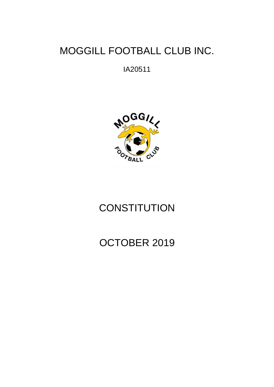## MOGGILL FOOTBALL CLUB INC.

IA20511



# **CONSTITUTION**

# OCTOBER 2019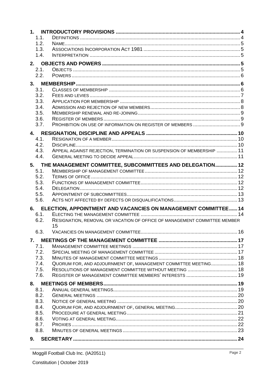| 1.1. |                                                                           |  |  |  |
|------|---------------------------------------------------------------------------|--|--|--|
| 1.2. |                                                                           |  |  |  |
| 1.3. |                                                                           |  |  |  |
| 1.4. |                                                                           |  |  |  |
| 2.   |                                                                           |  |  |  |
| 2.1. |                                                                           |  |  |  |
| 2.2. |                                                                           |  |  |  |
| 3.   |                                                                           |  |  |  |
| 3.1. |                                                                           |  |  |  |
| 3.2. |                                                                           |  |  |  |
| 3.3. |                                                                           |  |  |  |
| 3.4. |                                                                           |  |  |  |
| 3.5. |                                                                           |  |  |  |
| 3.6. |                                                                           |  |  |  |
| 3.7. |                                                                           |  |  |  |
|      |                                                                           |  |  |  |
| 4.1. |                                                                           |  |  |  |
| 4.2. |                                                                           |  |  |  |
| 4.3. | APPEAL AGAINST REJECTION, TERMINATION OR SUSPENSION OF MEMBERSHIP  11     |  |  |  |
| 4.4. |                                                                           |  |  |  |
|      |                                                                           |  |  |  |
|      | 5. THE MANAGEMENT COMMITTEE, SUBCOMMITTEES AND DELEGATION 12              |  |  |  |
| 5.1. |                                                                           |  |  |  |
| 5.2. |                                                                           |  |  |  |
| 5.3. |                                                                           |  |  |  |
| 5.4. |                                                                           |  |  |  |
| 5.5. |                                                                           |  |  |  |
| 5.6. |                                                                           |  |  |  |
| 6.   | ELECTION, APPOINTMENT AND VACANCIES ON MANAGEMENT COMMITTEE 14            |  |  |  |
| 6.1. |                                                                           |  |  |  |
| 6.2. | RESIGNATION, REMOVAL OR VACATION OF OFFICE OF MANAGEMENT COMMITTEE MEMBER |  |  |  |
|      | 15                                                                        |  |  |  |
| 6.3. |                                                                           |  |  |  |
|      |                                                                           |  |  |  |
| 7.1. |                                                                           |  |  |  |
| 7.2. |                                                                           |  |  |  |
| 7.3. |                                                                           |  |  |  |
| 7.4. | QUORUM FOR, AND ADJOURNMENT OF, MANAGEMENT COMMITTEE MEETING 18           |  |  |  |
| 7.5. | RESOLUTIONS OF MANAGEMENT COMMITTEE WITHOUT MEETING  18                   |  |  |  |
| 7.6. |                                                                           |  |  |  |
| 8.   |                                                                           |  |  |  |
| 8.1. |                                                                           |  |  |  |
| 8.2. |                                                                           |  |  |  |
| 8.3. |                                                                           |  |  |  |
| 8.4. |                                                                           |  |  |  |
| 8.5. |                                                                           |  |  |  |
| 8.6. |                                                                           |  |  |  |
| 8.7. |                                                                           |  |  |  |
| 8.8. |                                                                           |  |  |  |
| 9.   |                                                                           |  |  |  |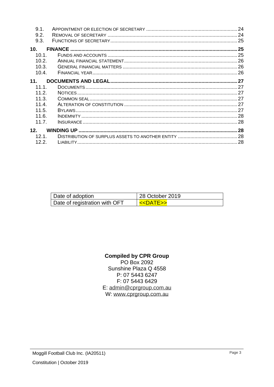| 9.1.              |  |
|-------------------|--|
| 9.2.              |  |
| 9.3.              |  |
| 10 <sub>1</sub>   |  |
| 10.1.             |  |
| 10.2 <sub>1</sub> |  |
| 10.3.             |  |
| 10.4.             |  |
| 11 <sub>1</sub>   |  |
| 11.1              |  |
| 11.2.             |  |
| 11.3.             |  |
| 11.4              |  |
| 11.5              |  |
| 11.6.             |  |
| 11.7.             |  |
| 12 <sub>1</sub>   |  |
| 12.1              |  |
| 12.2.             |  |

| Date of adoption              | 28 October 2019              |
|-------------------------------|------------------------------|
| Date of registration with OFT | <b>&lt;<datf>&gt;</datf></b> |

## **Compiled by CPR Group**

PO Box 2092 Sunshine Plaza Q 4558 P: 07 5443 6247 F: 07 5443 6429 E: admin@cprgroup.com.au W: www.cprgroup.com.au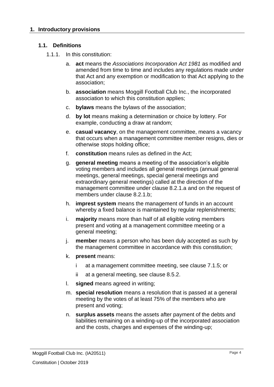## **1.1. Definitions**

- 1.1.1. In this constitution:
	- a. **act** means the *Associations Incorporation Act 1981* as modified and amended from time to time and includes any regulations made under that Act and any exemption or modification to that Act applying to the association;
	- b. **association** means Moggill Football Club Inc., the incorporated association to which this constitution applies;
	- c. **bylaws** means the bylaws of the association;
	- d. **by lot** means making a determination or choice by lottery. For example, conducting a draw at random;
	- e. **casual vacancy**, on the management committee, means a vacancy that occurs when a management committee member resigns, dies or otherwise stops holding office;
	- f. **constitution** means rules as defined in the Act;
	- g. **general meeting** means a meeting of the association's eligible voting members and includes all general meetings (annual general meetings, general meetings, special general meetings and extraordinary general meetings) called at the direction of the management committee under clause [8.2.1.a](#page-19-0) and on the request of members under clause [8.2.1.b;](#page-19-1)
	- h. **imprest system** means the management of funds in an account whereby a fixed balance is maintained by regular replenishments;
	- i. **majority** means more than half of all eligible voting members present and voting at a management committee meeting or a general meeting;
	- j. **member** means a person who has been duly accepted as such by the management committee in accordance with this constitution;
	- k. **present** means:
		- i at a management committee meeting, see clause [7.1.5;](#page-16-0) or
		- ii at a general meeting, see clause [8.5.2.](#page-20-0)
	- l. **signed** means agreed in writing;
	- m. **special resolution** means a resolution that is passed at a general meeting by the votes of at least 75% of the members who are present and voting;
	- n. **surplus assets** means the assets after payment of the debts and liabilities remaining on a winding-up of the incorporated association and the costs, charges and expenses of the winding-up;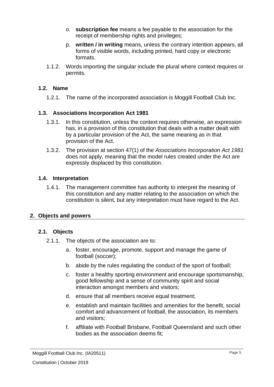- o. **subscription fee** means a fee payable to the association for the receipt of membership rights and privileges;
- p. **written / in writing** means, unless the contrary intention appears, all forms of visible words, including printed, hard copy or electronic formats.
- 1.1.2. Words importing the singular include the plural where context requires or permits.

## **1.2. Name**

1.2.1. The name of the incorporated association is Moggill Football Club Inc.

## **1.3. Associations Incorporation Act 1981**

- 1.3.1. In this constitution, unless the context requires otherwise, an expression has, in a provision of this constitution that deals with a matter dealt with by a particular provision of the Act, the same meaning as in that provision of the Act.
- 1.3.2. The provision at section 47(1) of the *Associations Incorporation Act 1981* does not apply, meaning that the model rules created under the Act are expressly displaced by this constitution.

## **1.4. Interpretation**

1.4.1. The management committee has authority to interpret the meaning of this constitution and any matter relating to the association on which the constitution is silent, but any interpretation must have regard to the Act.

## **2. Objects and powers**

## **2.1. Objects**

- 2.1.1. The objects of the association are to:
	- a. foster, encourage, promote, support and manage the game of football (soccer);
	- b. abide by the rules regulating the conduct of the sport of football;
	- c. foster a healthy sporting environment and encourage sportsmanship, good fellowship and a sense of community spirit and social interaction amongst members and visitors;
	- d. ensure that all members receive equal treatment;
	- e. establish and maintain facilities and amenities for the benefit, social comfort and advancement of football, the association, its members and visitors;
	- f. affiliate with Football Brisbane, Football Queensland and such other bodies as the association deems fit;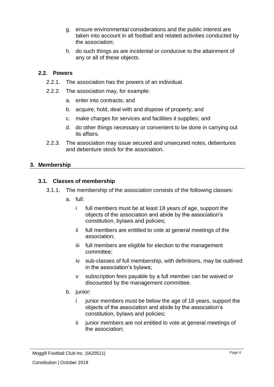- g. ensure environmental considerations and the public interest are taken into account in all football and related activities conducted by the association;
- h. do such things as are incidental or conducive to the attainment of any or all of these objects.

## **2.2. Powers**

- 2.2.1. The association has the powers of an individual.
- 2.2.2. The association may, for example:
	- a. enter into contracts; and
	- b. acquire, hold, deal with and dispose of property; and
	- c. make charges for services and facilities it supplies; and
	- d. do other things necessary or convenient to be done in carrying out its affairs.
- 2.2.3. The association may issue secured and unsecured notes, debentures and debenture stock for the association.

## **3. Membership**

## **3.1. Classes of membership**

- 3.1.1. The membership of the association consists of the following classes:
	- a. full:
		- i full members must be at least 18 years of age, support the objects of the association and abide by the association's constitution, bylaws and policies;
		- ii full members are entitled to vote at general meetings of the association;
		- iii full members are eligible for election to the management committee;
		- iv sub-classes of full membership, with definitions, may be outlined in the association's bylaws;
		- v subscription fees payable by a full member can be waived or discounted by the management committee.
	- b. junior:
		- i junior members must be below the age of 18 years, support the objects of the association and abide by the association's constitution, bylaws and policies;
		- ii junior members are not entitled to vote at general meetings of the association;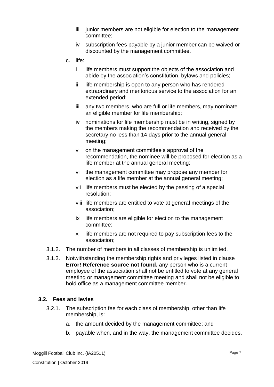- iii junior members are not eligible for election to the management committee;
- iv subscription fees payable by a junior member can be waived or discounted by the management committee.
- c. life:
	- i life members must support the objects of the association and abide by the association's constitution, bylaws and policies;
	- ii life membership is open to any person who has rendered extraordinary and meritorious service to the association for an extended period;
	- iii any two members, who are full or life members, may nominate an eligible member for life membership;
	- iv nominations for life membership must be in writing, signed by the members making the recommendation and received by the secretary no less than 14 days prior to the annual general meeting;
	- v on the management committee's approval of the recommendation, the nominee will be proposed for election as a life member at the annual general meeting;
	- vi the management committee may propose any member for election as a life member at the annual general meeting;
	- vii life members must be elected by the passing of a special resolution;
	- viii life members are entitled to vote at general meetings of the association;
	- ix life members are eligible for election to the management committee;
	- x life members are not required to pay subscription fees to the association;
- 3.1.2. The number of members in all classes of membership is unlimited.
- 3.1.3. Notwithstanding the membership rights and privileges listed in clause **Error! Reference source not found.** any person who is a current employee of the association shall not be entitled to vote at any general meeting or management committee meeting and shall not be eligible to hold office as a management committee member.

## <span id="page-6-0"></span>**3.2. Fees and levies**

- 3.2.1. The subscription fee for each class of membership, other than life membership, is:
	- a. the amount decided by the management committee; and
	- b. payable when, and in the way, the management committee decides.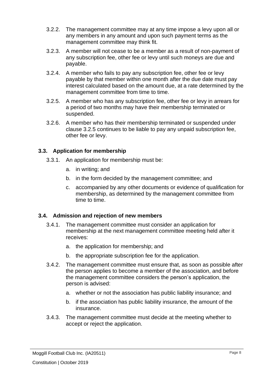- 3.2.2. The management committee may at any time impose a levy upon all or any members in any amount and upon such payment terms as the management committee may think fit.
- 3.2.3. A member will not cease to be a member as a result of non-payment of any subscription fee, other fee or levy until such moneys are due and payable.
- 3.2.4. A member who fails to pay any subscription fee, other fee or levy payable by that member within one month after the due date must pay interest calculated based on the amount due, at a rate determined by the management committee from time to time.
- <span id="page-7-0"></span>3.2.5. A member who has any subscription fee, other fee or levy in arrears for a period of two months may have their membership terminated or suspended.
- 3.2.6. A member who has their membership terminated or suspended under clause [3.2.5](#page-7-0) continues to be liable to pay any unpaid subscription fee, other fee or levy.

## **3.3. Application for membership**

- 3.3.1. An application for membership must be:
	- a. in writing; and
	- b. in the form decided by the management committee; and
	- c. accompanied by any other documents or evidence of qualification for membership, as determined by the management committee from time to time.

## **3.4. Admission and rejection of new members**

- 3.4.1. The management committee must consider an application for membership at the next management committee meeting held after it receives:
	- a. the application for membership; and
	- b. the appropriate subscription fee for the application.
- 3.4.2. The management committee must ensure that, as soon as possible after the person applies to become a member of the association, and before the management committee considers the person's application, the person is advised:
	- a. whether or not the association has public liability insurance; and
	- b. if the association has public liability insurance, the amount of the insurance.
- 3.4.3. The management committee must decide at the meeting whether to accept or reject the application.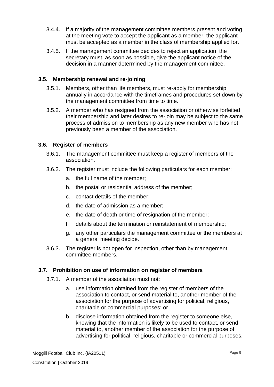- 3.4.4. If a majority of the management committee members present and voting at the meeting vote to accept the applicant as a member, the applicant must be accepted as a member in the class of membership applied for.
- 3.4.5. If the management committee decides to reject an application, the secretary must, as soon as possible, give the applicant notice of the decision in a manner determined by the management committee.

## **3.5. Membership renewal and re-joining**

- 3.5.1. Members, other than life members, must re-apply for membership annually in accordance with the timeframes and procedures set down by the management committee from time to time.
- 3.5.2. A member who has resigned from the association or otherwise forfeited their membership and later desires to re-join may be subject to the same process of admission to membership as any new member who has not previously been a member of the association.

## **3.6. Register of members**

- 3.6.1. The management committee must keep a register of members of the association.
- 3.6.2. The register must include the following particulars for each member:
	- a. the full name of the member;
	- b. the postal or residential address of the member;
	- c. contact details of the member;
	- d. the date of admission as a member;
	- e. the date of death or time of resignation of the member;
	- f. details about the termination or reinstatement of membership;
	- g. any other particulars the management committee or the members at a general meeting decide.
- 3.6.3. The register is not open for inspection, other than by management committee members.

## **3.7. Prohibition on use of information on register of members**

- 3.7.1. A member of the association must not:
	- a. use information obtained from the register of members of the association to contact, or send material to, another member of the association for the purpose of advertising for political, religious, charitable or commercial purposes; or
	- b. disclose information obtained from the register to someone else, knowing that the information is likely to be used to contact, or send material to, another member of the association for the purpose of advertising for political, religious, charitable or commercial purposes.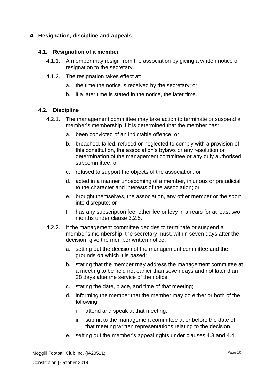## **4. Resignation, discipline and appeals**

#### **4.1. Resignation of a member**

- 4.1.1. A member may resign from the association by giving a written notice of resignation to the secretary.
- 4.1.2. The resignation takes effect at:
	- a. the time the notice is received by the secretary; or
	- b. if a later time is stated in the notice, the later time.

## **4.2. Discipline**

- 4.2.1. The management committee may take action to terminate or suspend a member's membership if it is determined that the member has:
	- a. been convicted of an indictable offence; or
	- b. breached, failed, refused or neglected to comply with a provision of this constitution, the association's bylaws or any resolution or determination of the management committee or any duly authorised subcommittee; or
	- c. refused to support the objects of the association; or
	- d. acted in a manner unbecoming of a member, injurious or prejudicial to the character and interests of the association; or
	- e. brought themselves, the association, any other member or the sport into disrepute; or
	- f. has any subscription fee, other fee or levy in arrears for at least two months under clause [3.2.5.](#page-7-0)
- <span id="page-9-0"></span>4.2.2. If the management committee decides to terminate or suspend a member's membership, the secretary must, within seven days after the decision, give the member written notice:
	- a. setting out the decision of the management committee and the grounds on which it is based;
	- b. stating that the member may address the management committee at a meeting to be held not earlier than seven days and not later than 28 days after the service of the notice;
	- c. stating the date, place, and time of that meeting;
	- d. informing the member that the member may do either or both of the following:
		- i attend and speak at that meeting;
		- ii submit to the management committee at or before the date of that meeting written representations relating to the decision.
	- e. setting out the member's appeal rights under clauses [4.3](#page-10-0) and [4.4.](#page-10-1)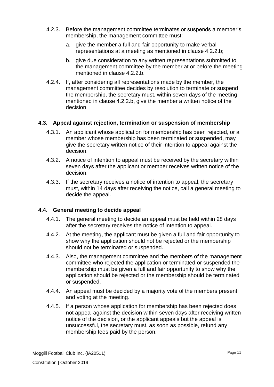- 4.2.3. Before the management committee terminates or suspends a member's membership, the management committee must:
	- a. give the member a full and fair opportunity to make verbal representations at a meeting as mentioned in clause [4.2.2.b;](#page-9-0)
	- b. give due consideration to any written representations submitted to the management committee by the member at or before the meeting mentioned in clause [4.2.2.b.](#page-9-0)
- 4.2.4. If, after considering all representations made by the member, the management committee decides by resolution to terminate or suspend the membership, the secretary must, within seven days of the meeting mentioned in clause [4.2.2.b,](#page-9-0) give the member a written notice of the decision.

## <span id="page-10-0"></span>**4.3. Appeal against rejection, termination or suspension of membership**

- 4.3.1. An applicant whose application for membership has been rejected, or a member whose membership has been terminated or suspended, may give the secretary written notice of their intention to appeal against the decision.
- 4.3.2. A notice of intention to appeal must be received by the secretary within seven days after the applicant or member receives written notice of the decision.
- 4.3.3. If the secretary receives a notice of intention to appeal, the secretary must, within 14 days after receiving the notice, call a general meeting to decide the appeal.

## <span id="page-10-1"></span>**4.4. General meeting to decide appeal**

- 4.4.1. The general meeting to decide an appeal must be held within 28 days after the secretary receives the notice of intention to appeal.
- 4.4.2. At the meeting, the applicant must be given a full and fair opportunity to show why the application should not be rejected or the membership should not be terminated or suspended.
- 4.4.3. Also, the management committee and the members of the management committee who rejected the application or terminated or suspended the membership must be given a full and fair opportunity to show why the application should be rejected or the membership should be terminated or suspended.
- 4.4.4. An appeal must be decided by a majority vote of the members present and voting at the meeting.
- 4.4.5. If a person whose application for membership has been rejected does not appeal against the decision within seven days after receiving written notice of the decision, or the applicant appeals but the appeal is unsuccessful, the secretary must, as soon as possible, refund any membership fees paid by the person.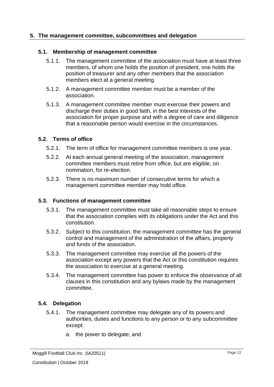## **5. The management committee, subcommittees and delegation**

#### **5.1. Membership of management committee**

- 5.1.1. The management committee of the association must have at least three members, of whom one holds the position of president, one holds the position of treasurer and any other members that the association members elect at a general meeting.
- 5.1.2. A management committee member must be a member of the association.
- 5.1.3. A management committee member must exercise their powers and discharge their duties in good faith, in the best interests of the association for proper purpose and with a degree of care and diligence that a reasonable person would exercise in the circumstances.

## **5.2. Terms of office**

- 5.2.1. The term of office for management committee members is one year.
- 5.2.2. At each annual general meeting of the association, management committee members must retire from office, but are eligible, on nomination, for re-election.
- 5.2.3. There is no maximum number of consecutive terms for which a management committee member may hold office.

#### **5.3. Functions of management committee**

- 5.3.1. The management committee must take all reasonable steps to ensure that the association complies with its obligations under the Act and this constitution.
- 5.3.2. Subject to this constitution, the management committee has the general control and management of the administration of the affairs, property and funds of the association.
- 5.3.3. The management committee may exercise all the powers of the association except any powers that the Act or this constitution requires the association to exercise at a general meeting.
- 5.3.4. The management committee has power to enforce the observance of all clauses in this constitution and any bylaws made by the management committee.

#### **5.4. Delegation**

- 5.4.1. The management committee may delegate any of its powers and authorities, duties and functions to any person or to any subcommittee except:
	- a. the power to delegate; and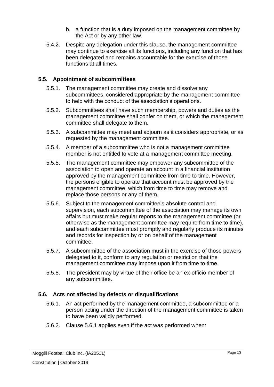- b. a function that is a duty imposed on the management committee by the Act or by any other law.
- 5.4.2. Despite any delegation under this clause, the management committee may continue to exercise all its functions, including any function that has been delegated and remains accountable for the exercise of those functions at all times.

## **5.5. Appointment of subcommittees**

- 5.5.1. The management committee may create and dissolve any subcommittees, considered appropriate by the management committee to help with the conduct of the association's operations.
- 5.5.2. Subcommittees shall have such membership, powers and duties as the management committee shall confer on them, or which the management committee shall delegate to them.
- 5.5.3. A subcommittee may meet and adjourn as it considers appropriate, or as requested by the management committee.
- 5.5.4. A member of a subcommittee who is not a management committee member is not entitled to vote at a management committee meeting.
- 5.5.5. The management committee may empower any subcommittee of the association to open and operate an account in a financial institution approved by the management committee from time to time. However, the persons eligible to operate that account must be approved by the management committee, which from time to time may remove and replace those persons or any of them.
- 5.5.6. Subject to the management committee's absolute control and supervision, each subcommittee of the association may manage its own affairs but must make regular reports to the management committee (or otherwise as the management committee may require from time to time), and each subcommittee must promptly and regularly produce its minutes and records for inspection by or on behalf of the management committee.
- 5.5.7. A subcommittee of the association must in the exercise of those powers delegated to it, conform to any regulation or restriction that the management committee may impose upon it from time to time.
- 5.5.8. The president may by virtue of their office be an ex-officio member of any subcommittee.

## <span id="page-12-0"></span>**5.6. Acts not affected by defects or disqualifications**

- 5.6.1. An act performed by the management committee, a subcommittee or a person acting under the direction of the management committee is taken to have been validly performed.
- 5.6.2. Clause [5.6.1](#page-12-0) applies even if the act was performed when: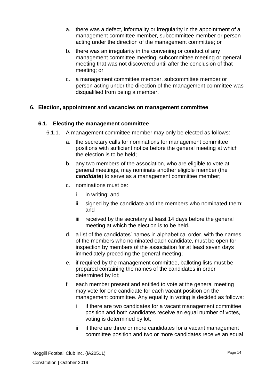- a. there was a defect, informality or irregularity in the appointment of a management committee member, subcommittee member or person acting under the direction of the management committee; or
- b. there was an irregularity in the convening or conduct of any management committee meeting, subcommittee meeting or general meeting that was not discovered until after the conclusion of that meeting; or
- c. a management committee member, subcommittee member or person acting under the direction of the management committee was disqualified from being a member.

## **6. Election, appointment and vacancies on management committee**

## **6.1. Electing the management committee**

- 6.1.1. A management committee member may only be elected as follows:
	- a. the secretary calls for nominations for management committee positions with sufficient notice before the general meeting at which the election is to be held;
	- b. any two members of the association, who are eligible to vote at general meetings, may nominate another eligible member (the *candidate*) to serve as a management committee member;
	- c. nominations must be:
		- i in writing; and
		- ii signed by the candidate and the members who nominated them; and
		- iii received by the secretary at least 14 days before the general meeting at which the election is to be held.
	- d. a list of the candidates' names in alphabetical order, with the names of the members who nominated each candidate, must be open for inspection by members of the association for at least seven days immediately preceding the general meeting;
	- e. if required by the management committee, balloting lists must be prepared containing the names of the candidates in order determined by lot;
	- f. each member present and entitled to vote at the general meeting may vote for one candidate for each vacant position on the management committee. Any equality in voting is decided as follows:
		- i if there are two candidates for a vacant management committee position and both candidates receive an equal number of votes, voting is determined by lot;
		- ii if there are three or more candidates for a vacant management committee position and two or more candidates receive an equal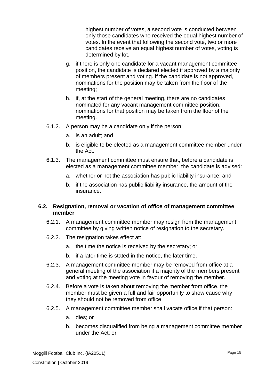highest number of votes, a second vote is conducted between only those candidates who received the equal highest number of votes. In the event that following the second vote, two or more candidates receive an equal highest number of votes, voting is determined by lot.

- g. if there is only one candidate for a vacant management committee position, the candidate is declared elected if approved by a majority of members present and voting. If the candidate is not approved, nominations for the position may be taken from the floor of the meeting;
- h. if, at the start of the general meeting, there are no candidates nominated for any vacant management committee position, nominations for that position may be taken from the floor of the meeting.
- 6.1.2. A person may be a candidate only if the person:
	- a. is an adult; and
	- b. is eligible to be elected as a management committee member under the Act.
- 6.1.3. The management committee must ensure that, before a candidate is elected as a management committee member, the candidate is advised:
	- a. whether or not the association has public liability insurance; and
	- b. if the association has public liability insurance, the amount of the insurance.

## **6.2. Resignation, removal or vacation of office of management committee member**

- 6.2.1. A management committee member may resign from the management committee by giving written notice of resignation to the secretary.
- 6.2.2. The resignation takes effect at:
	- a. the time the notice is received by the secretary; or
	- b. if a later time is stated in the notice, the later time.
- 6.2.3. A management committee member may be removed from office at a general meeting of the association if a majority of the members present and voting at the meeting vote in favour of removing the member.
- 6.2.4. Before a vote is taken about removing the member from office, the member must be given a full and fair opportunity to show cause why they should not be removed from office.
- 6.2.5. A management committee member shall vacate office if that person:
	- a. dies; or
	- b. becomes disqualified from being a management committee member under the Act; or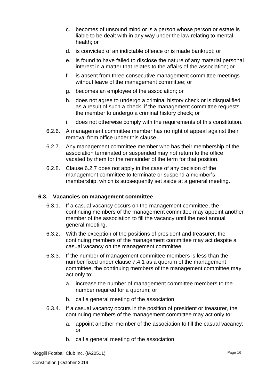- c. becomes of unsound mind or is a person whose person or estate is liable to be dealt with in any way under the law relating to mental health; or
- d. is convicted of an indictable offence or is made bankrupt; or
- e. is found to have failed to disclose the nature of any material personal interest in a matter that relates to the affairs of the association; or
- f. is absent from three consecutive management committee meetings without leave of the management committee; or
- g. becomes an employee of the association; or
- h. does not agree to undergo a criminal history check or is disqualified as a result of such a check, if the management committee requests the member to undergo a criminal history check; or
- i. does not otherwise comply with the requirements of this constitution.
- 6.2.6. A management committee member has no right of appeal against their removal from office under this clause.
- <span id="page-15-0"></span>6.2.7. Any management committee member who has their membership of the association terminated or suspended may not return to the office vacated by them for the remainder of the term for that position.
- 6.2.8. Clause [6.2.7](#page-15-0) does not apply in the case of any decision of the management committee to terminate or suspend a member's membership, which is subsequently set aside at a general meeting.

## **6.3. Vacancies on management committee**

- 6.3.1. If a casual vacancy occurs on the management committee, the continuing members of the management committee may appoint another member of the association to fill the vacancy until the next annual general meeting.
- 6.3.2. With the exception of the positions of president and treasurer, the continuing members of the management committee may act despite a casual vacancy on the management committee.
- 6.3.3. If the number of management committee members is less than the number fixed under clause [7.4.1](#page-17-0) as a quorum of the management committee, the continuing members of the management committee may act only to:
	- a. increase the number of management committee members to the number required for a quorum; or
	- b. call a general meeting of the association.
- 6.3.4. If a casual vacancy occurs in the position of president or treasurer, the continuing members of the management committee may act only to:
	- a. appoint another member of the association to fill the casual vacancy; or
	- b. call a general meeting of the association.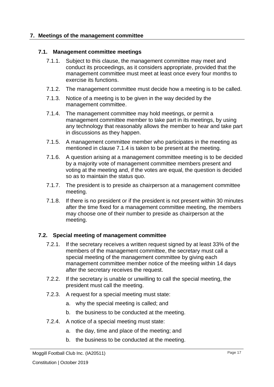## **7. Meetings of the management committee**

#### **7.1. Management committee meetings**

- 7.1.1. Subject to this clause, the management committee may meet and conduct its proceedings, as it considers appropriate, provided that the management committee must meet at least once every four months to exercise its functions.
- 7.1.2. The management committee must decide how a meeting is to be called.
- 7.1.3. Notice of a meeting is to be given in the way decided by the management committee.
- <span id="page-16-1"></span>7.1.4. The management committee may hold meetings, or permit a management committee member to take part in its meetings, by using any technology that reasonably allows the member to hear and take part in discussions as they happen.
- <span id="page-16-0"></span>7.1.5. A management committee member who participates in the meeting as mentioned in clause [7.1.4](#page-16-1) is taken to be present at the meeting.
- 7.1.6. A question arising at a management committee meeting is to be decided by a majority vote of management committee members present and voting at the meeting and, if the votes are equal, the question is decided so as to maintain the status quo.
- 7.1.7. The president is to preside as chairperson at a management committee meeting.
- 7.1.8. If there is no president or if the president is not present within 30 minutes after the time fixed for a management committee meeting, the members may choose one of their number to preside as chairperson at the meeting.

## <span id="page-16-2"></span>**7.2. Special meeting of management committee**

- 7.2.1. If the secretary receives a written request signed by at least 33% of the members of the management committee, the secretary must call a special meeting of the management committee by giving each management committee member notice of the meeting within 14 days after the secretary receives the request.
- 7.2.2. If the secretary is unable or unwilling to call the special meeting, the president must call the meeting.
- 7.2.3. A request for a special meeting must state:
	- a. why the special meeting is called; and
	- b. the business to be conducted at the meeting.
- 7.2.4. A notice of a special meeting must state:
	- a. the day, time and place of the meeting; and
	- b. the business to be conducted at the meeting.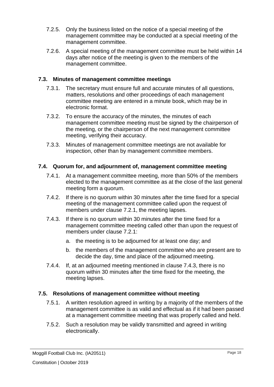- 7.2.5. Only the business listed on the notice of a special meeting of the management committee may be conducted at a special meeting of the management committee.
- 7.2.6. A special meeting of the management committee must be held within 14 days after notice of the meeting is given to the members of the management committee.

## **7.3. Minutes of management committee meetings**

- 7.3.1. The secretary must ensure full and accurate minutes of all questions, matters, resolutions and other proceedings of each management committee meeting are entered in a minute book, which may be in electronic format.
- 7.3.2. To ensure the accuracy of the minutes, the minutes of each management committee meeting must be signed by the chairperson of the meeting, or the chairperson of the next management committee meeting, verifying their accuracy.
- 7.3.3. Minutes of management committee meetings are not available for inspection, other than by management committee members.

## <span id="page-17-0"></span>**7.4. Quorum for, and adjournment of, management committee meeting**

- 7.4.1. At a management committee meeting, more than 50% of the members elected to the management committee as at the close of the last general meeting form a quorum.
- 7.4.2. If there is no quorum within 30 minutes after the time fixed for a special meeting of the management committee called upon the request of members under clause [7.2.1,](#page-16-2) the meeting lapses.
- <span id="page-17-1"></span>7.4.3. If there is no quorum within 30 minutes after the time fixed for a management committee meeting called other than upon the request of members under clause [7.2.1:](#page-16-2)
	- a. the meeting is to be adjourned for at least one day; and
	- b. the members of the management committee who are present are to decide the day, time and place of the adjourned meeting.
- 7.4.4. If, at an adjourned meeting mentioned in clause [7.4.3,](#page-17-1) there is no quorum within 30 minutes after the time fixed for the meeting, the meeting lapses.

## <span id="page-17-2"></span>**7.5. Resolutions of management committee without meeting**

- 7.5.1. A written resolution agreed in writing by a majority of the members of the management committee is as valid and effectual as if it had been passed at a management committee meeting that was properly called and held.
- 7.5.2. Such a resolution may be validly transmitted and agreed in writing electronically.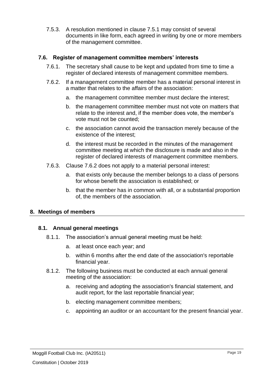7.5.3. A resolution mentioned in clause [7.5.1](#page-17-2) may consist of several documents in like form, each agreed in writing by one or more members of the management committee.

## **7.6. Register of management committee members' interests**

- 7.6.1. The secretary shall cause to be kept and updated from time to time a register of declared interests of management committee members.
- <span id="page-18-0"></span>7.6.2. If a management committee member has a material personal interest in a matter that relates to the affairs of the association:
	- a. the management committee member must declare the interest;
	- b. the management committee member must not vote on matters that relate to the interest and, if the member does vote, the member's vote must not be counted;
	- c. the association cannot avoid the transaction merely because of the existence of the interest;
	- d. the interest must be recorded in the minutes of the management committee meeting at which the disclosure is made and also in the register of declared interests of management committee members.
- 7.6.3. Clause [7.6.2](#page-18-0) does not apply to a material personal interest:
	- a. that exists only because the member belongs to a class of persons for whose benefit the association is established; or
	- b. that the member has in common with all, or a substantial proportion of, the members of the association.

## **8. Meetings of members**

## **8.1. Annual general meetings**

- 8.1.1. The association's annual general meeting must be held:
	- a. at least once each year; and
	- b. within 6 months after the end date of the association's reportable financial year.
- 8.1.2. The following business must be conducted at each annual general meeting of the association:
	- a. receiving and adopting the association's financial statement, and audit report, for the last reportable financial year;
	- b. electing management committee members;
	- c. appointing an auditor or an accountant for the present financial year.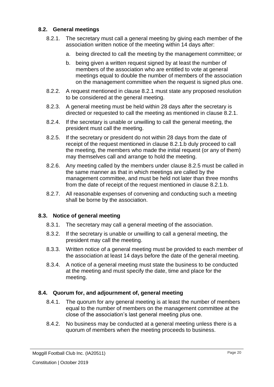## <span id="page-19-2"></span>**8.2. General meetings**

- <span id="page-19-1"></span><span id="page-19-0"></span>8.2.1. The secretary must call a general meeting by giving each member of the association written notice of the meeting within 14 days after:
	- a. being directed to call the meeting by the management committee; or
	- b. being given a written request signed by at least the number of members of the association who are entitled to vote at general meetings equal to double the number of members of the association on the management committee when the request is signed plus one.
- 8.2.2. A request mentioned in clause [8.2.1](#page-19-2) must state any proposed resolution to be considered at the general meeting.
- 8.2.3. A general meeting must be held within 28 days after the secretary is directed or requested to call the meeting as mentioned in clause [8.2.1.](#page-19-2)
- 8.2.4. If the secretary is unable or unwilling to call the general meeting, the president must call the meeting.
- <span id="page-19-3"></span>8.2.5. If the secretary or president do not within 28 days from the date of receipt of the request mentioned in clause [8.2.1.b](#page-19-1) duly proceed to call the meeting, the members who made the initial request (or any of them) may themselves call and arrange to hold the meeting.
- 8.2.6. Any meeting called by the members under clause [8.2.5](#page-19-3) must be called in the same manner as that in which meetings are called by the management committee, and must be held not later than three months from the date of receipt of the request mentioned in clause [8.2.1.b.](#page-19-1)
- 8.2.7. All reasonable expenses of convening and conducting such a meeting shall be borne by the association.

## **8.3. Notice of general meeting**

- 8.3.1. The secretary may call a general meeting of the association.
- 8.3.2. If the secretary is unable or unwilling to call a general meeting, the president may call the meeting.
- 8.3.3. Written notice of a general meeting must be provided to each member of the association at least 14 days before the date of the general meeting.
- 8.3.4. A notice of a general meeting must state the business to be conducted at the meeting and must specify the date, time and place for the meeting.

#### **8.4. Quorum for, and adjournment of, general meeting**

- 8.4.1. The quorum for any general meeting is at least the number of members equal to the number of members on the management committee at the close of the association's last general meeting plus one.
- 8.4.2. No business may be conducted at a general meeting unless there is a quorum of members when the meeting proceeds to business.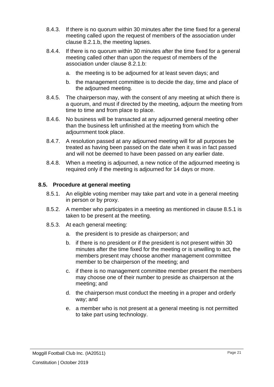- 8.4.3. If there is no quorum within 30 minutes after the time fixed for a general meeting called upon the request of members of the association under clause [8.2.1.b,](#page-19-1) the meeting lapses.
- 8.4.4. If there is no quorum within 30 minutes after the time fixed for a general meeting called other than upon the request of members of the association under clause [8.2.1.b:](#page-19-1)
	- a. the meeting is to be adjourned for at least seven days; and
	- b. the management committee is to decide the day, time and place of the adjourned meeting.
- 8.4.5. The chairperson may, with the consent of any meeting at which there is a quorum, and must if directed by the meeting, adjourn the meeting from time to time and from place to place.
- 8.4.6. No business will be transacted at any adjourned general meeting other than the business left unfinished at the meeting from which the adjournment took place.
- 8.4.7. A resolution passed at any adjourned meeting will for all purposes be treated as having been passed on the date when it was in fact passed and will not be deemed to have been passed on any earlier date.
- 8.4.8. When a meeting is adjourned, a new notice of the adjourned meeting is required only if the meeting is adjourned for 14 days or more.

## <span id="page-20-1"></span>**8.5. Procedure at general meeting**

- 8.5.1. An eligible voting member may take part and vote in a general meeting in person or by proxy.
- <span id="page-20-0"></span>8.5.2. A member who participates in a meeting as mentioned in clause [8.5.1](#page-20-1) is taken to be present at the meeting.
- 8.5.3. At each general meeting:
	- a. the president is to preside as chairperson; and
	- b. if there is no president or if the president is not present within 30 minutes after the time fixed for the meeting or is unwilling to act, the members present may choose another management committee member to be chairperson of the meeting; and
	- c. if there is no management committee member present the members may choose one of their number to preside as chairperson at the meeting; and
	- d. the chairperson must conduct the meeting in a proper and orderly way; and
	- e. a member who is not present at a general meeting is not permitted to take part using technology.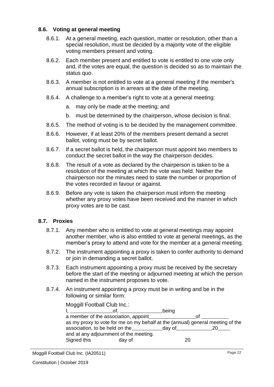## **8.6. Voting at general meeting**

- 8.6.1. At a general meeting, each question, matter or resolution, other than a special resolution, must be decided by a majority vote of the eligible voting members present and voting.
- 8.6.2. Each member present and entitled to vote is entitled to one vote only and, if the votes are equal, the question is decided so as to maintain the status quo.
- 8.6.3. A member is not entitled to vote at a general meeting if the member's annual subscription is in arrears at the date of the meeting.
- 8.6.4. A challenge to a member's right to vote at a general meeting:
	- a. may only be made at the meeting; and
	- b. must be determined by the chairperson, whose decision is final.
- 8.6.5. The method of voting is to be decided by the management committee.
- 8.6.6. However, if at least 20% of the members present demand a secret ballot, voting must be by secret ballot.
- 8.6.7. If a secret ballot is held, the chairperson must appoint two members to conduct the secret ballot in the way the chairperson decides.
- 8.6.8. The result of a vote as declared by the chairperson is taken to be a resolution of the meeting at which the vote was held. Neither the chairperson nor the minutes need to state the number or proportion of the votes recorded in favour or against.
- 8.6.9. Before any vote is taken the chairperson must inform the meeting whether any proxy votes have been received and the manner in which proxy votes are to be cast.

#### **8.7. Proxies**

- 8.7.1. Any member who is entitled to vote at general meetings may appoint another member, who is also entitled to vote at general meetings, as the member's proxy to attend and vote for the member at a general meeting.
- 8.7.2. The instrument appointing a proxy is taken to confer authority to demand or join in demanding a secret ballot.
- 8.7.3. Each instrument appointing a proxy must be received by the secretary before the start of the meeting or adjourned meeting at which the person named in the instrument proposes to vote.
- 8.7.4. An instrument appointing a proxy must be in writing and be in the following or similar form:

| Moggill Football Club Inc.:                                                    |            |       |    |  |  |  |  |  |
|--------------------------------------------------------------------------------|------------|-------|----|--|--|--|--|--|
|                                                                                | of, $\_\_$ | being |    |  |  |  |  |  |
| a member of the association, appoint                                           |            |       | ΩŤ |  |  |  |  |  |
| as my proxy to vote for me on my behalf at the (annual) general meeting of the |            |       |    |  |  |  |  |  |
|                                                                                |            |       |    |  |  |  |  |  |
| and at any adjournment of the meeting.                                         |            |       |    |  |  |  |  |  |
| Signed this                                                                    | day of     | 20    |    |  |  |  |  |  |
|                                                                                |            |       |    |  |  |  |  |  |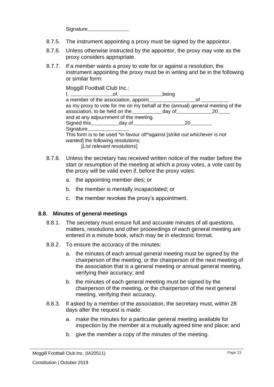Signature<br>
Signature

- 8.7.5. The instrument appointing a proxy must be signed by the appointor.
- 8.7.6. Unless otherwise instructed by the appointor, the proxy may vote as the proxy considers appropriate.
- 8.7.7. If a member wants a proxy to vote for or against a resolution, the instrument appointing the proxy must be in writing and be in the following or similar form:

Moggill Football Club Inc.:  $I,$   $I,$  being a member of the association, appoint of as my proxy to vote for me on my behalf at the (annual) general meeting of the association, to be held on the day of 20 and at any adjournment of the meeting. Signed this day of 20 **Signature** This form is to be used \*in favour of/\*against [*strike out whichever is not wanted*] the following resolutions:

[*List relevant resolutions*]

- 8.7.8. Unless the secretary has received written notice of the matter before the start or resumption of the meeting at which a proxy votes, a vote cast by the proxy will be valid even if, before the proxy votes:
	- a. the appointing member dies; or
	- b. the member is mentally incapacitated; or
	- c. the member revokes the proxy's appointment.

#### **8.8. Minutes of general meetings**

- 8.8.1. The secretary must ensure full and accurate minutes of all questions, matters, resolutions and other proceedings of each general meeting are entered in a minute book, which may be in electronic format.
- 8.8.2. To ensure the accuracy of the minutes:
	- a. the minutes of each annual general meeting must be signed by the chairperson of the meeting, or the chairperson of the next meeting of the association that is a general meeting or annual general meeting, verifying their accuracy; and
	- b. the minutes of each general meeting must be signed by the chairperson of the meeting, or the chairperson of the next general meeting, verifying their accuracy.
- 8.8.3. If asked by a member of the association, the secretary must, within 28 days after the request is made:
	- a. make the minutes for a particular general meeting available for inspection by the member at a mutually agreed time and place; and
	- b. give the member a copy of the minutes of the meeting.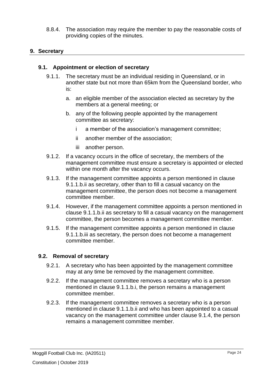8.8.4. The association may require the member to pay the reasonable costs of providing copies of the minutes.

## **9. Secretary**

## **9.1. Appointment or election of secretary**

- 9.1.1. The secretary must be an individual residing in Queensland, or in another state but not more than 65km from the Queensland border, who is:
	- a. an eligible member of the association elected as secretary by the members at a general meeting; or
	- b. any of the following people appointed by the management committee as secretary:
		- i a member of the association's management committee;
		- ii another member of the association;
		- iii another person.
- <span id="page-23-2"></span><span id="page-23-1"></span><span id="page-23-0"></span>9.1.2. If a vacancy occurs in the office of secretary, the members of the management committee must ensure a secretary is appointed or elected within one month after the vacancy occurs.
- 9.1.3. If the management committee appoints a person mentioned in clause [9.1.1.b.ii](#page-23-0) as secretary, other than to fill a casual vacancy on the management committee, the person does not become a management committee member.
- <span id="page-23-3"></span>9.1.4. However, if the management committee appoints a person mentioned in clause [9.1.1.b.ii](#page-23-0) as secretary to fill a casual vacancy on the management committee, the person becomes a management committee member.
- 9.1.5. If the management committee appoints a person mentioned in clause [9.1.1.b.iii](#page-23-1) as secretary, the person does not become a management committee member.

## **9.2. Removal of secretary**

- 9.2.1. A secretary who has been appointed by the management committee may at any time be removed by the management committee.
- 9.2.2. If the management committee removes a secretary who is a person mentioned in clause [9.1.1.b.i,](#page-23-2) the person remains a management committee member.
- 9.2.3. If the management committee removes a secretary who is a person mentioned in clause [9.1.1.b.ii](#page-23-0) and who has been appointed to a casual vacancy on the management committee under clause [9.1.4,](#page-23-3) the person remains a management committee member.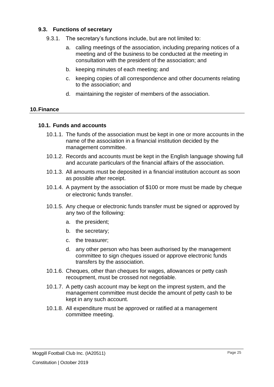## **9.3. Functions of secretary**

- 9.3.1. The secretary's functions include, but are not limited to:
	- a. calling meetings of the association, including preparing notices of a meeting and of the business to be conducted at the meeting in consultation with the president of the association; and
	- b. keeping minutes of each meeting; and
	- c. keeping copies of all correspondence and other documents relating to the association; and
	- d. maintaining the register of members of the association.

## **10.Finance**

## **10.1. Funds and accounts**

- 10.1.1. The funds of the association must be kept in one or more accounts in the name of the association in a financial institution decided by the management committee.
- 10.1.2. Records and accounts must be kept in the English language showing full and accurate particulars of the financial affairs of the association.
- 10.1.3. All amounts must be deposited in a financial institution account as soon as possible after receipt.
- 10.1.4. A payment by the association of \$100 or more must be made by cheque or electronic funds transfer.
- 10.1.5. Any cheque or electronic funds transfer must be signed or approved by any two of the following:
	- a. the president;
	- b. the secretary;
	- c. the treasurer;
	- d. any other person who has been authorised by the management committee to sign cheques issued or approve electronic funds transfers by the association.
- 10.1.6. Cheques, other than cheques for wages, allowances or petty cash recoupment, must be crossed not negotiable.
- 10.1.7. A petty cash account may be kept on the imprest system, and the management committee must decide the amount of petty cash to be kept in any such account.
- 10.1.8. All expenditure must be approved or ratified at a management committee meeting.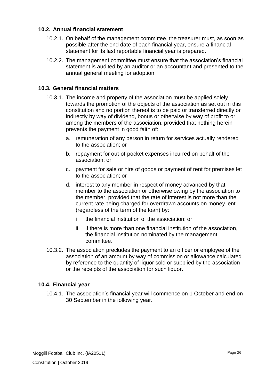## **10.2. Annual financial statement**

- 10.2.1. On behalf of the management committee, the treasurer must, as soon as possible after the end date of each financial year, ensure a financial statement for its last reportable financial year is prepared.
- 10.2.2. The management committee must ensure that the association's financial statement is audited by an auditor or an accountant and presented to the annual general meeting for adoption.

## **10.3. General financial matters**

- 10.3.1. The income and property of the association must be applied solely towards the promotion of the objects of the association as set out in this constitution and no portion thereof is to be paid or transferred directly or indirectly by way of dividend, bonus or otherwise by way of profit to or among the members of the association, provided that nothing herein prevents the payment in good faith of:
	- a. remuneration of any person in return for services actually rendered to the association; or
	- b. repayment for out-of-pocket expenses incurred on behalf of the association; or
	- c. payment for sale or hire of goods or payment of rent for premises let to the association; or
	- d. interest to any member in respect of money advanced by that member to the association or otherwise owing by the association to the member, provided that the rate of interest is not more than the current rate being charged for overdrawn accounts on money lent (regardless of the term of the loan) by:
		- i the financial institution of the association; or
		- ii if there is more than one financial institution of the association, the financial institution nominated by the management committee.
- 10.3.2. The association precludes the payment to an officer or employee of the association of an amount by way of commission or allowance calculated by reference to the quantity of liquor sold or supplied by the association or the receipts of the association for such liquor.

## **10.4. Financial year**

10.4.1. The association's financial year will commence on 1 October and end on 30 September in the following year.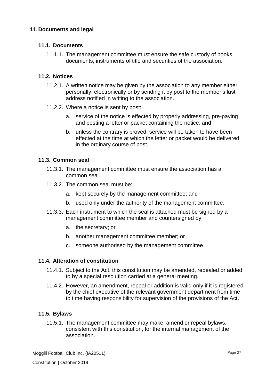## **11.1. Documents**

11.1.1. The management committee must ensure the safe custody of books, documents, instruments of title and securities of the association.

## **11.2. Notices**

- 11.2.1. A written notice may be given by the association to any member either personally, electronically or by sending it by post to the member's last address notified in writing to the association.
- 11.2.2. Where a notice is sent by post:
	- a. service of the notice is effected by properly addressing, pre-paying and posting a letter or packet containing the notice; and
	- b. unless the contrary is proved, service will be taken to have been effected at the time at which the letter or packet would be delivered in the ordinary course of post.

## **11.3. Common seal**

- 11.3.1. The management committee must ensure the association has a common seal.
- 11.3.2. The common seal must be:
	- a. kept securely by the management committee; and
	- b. used only under the authority of the management committee.
- 11.3.3. Each instrument to which the seal is attached must be signed by a management committee member and countersigned by:
	- a. the secretary; or
	- b. another management committee member; or
	- c. someone authorised by the management committee.

#### **11.4. Alteration of constitution**

- 11.4.1. Subject to the Act, this constitution may be amended, repealed or added to by a special resolution carried at a general meeting.
- 11.4.2. However, an amendment, repeal or addition is valid only if it is registered by the chief executive of the relevant government department from time to time having responsibility for supervision of the provisions of the Act.

## **11.5. Bylaws**

11.5.1. The management committee may make, amend or repeal bylaws, consistent with this constitution, for the internal management of the association.